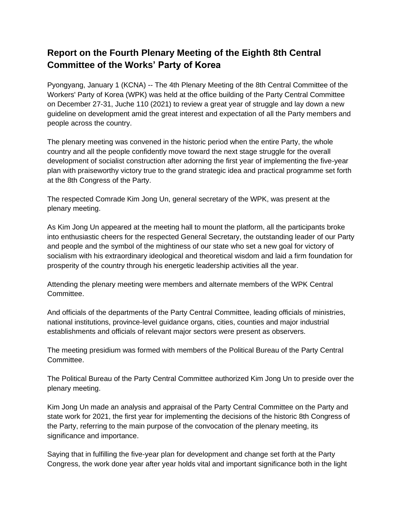## **Report on the Fourth Plenary Meeting of the Eighth 8th Central Committee of the Works' Party of Korea**

Pyongyang, January 1 (KCNA) -- The 4th Plenary Meeting of the 8th Central Committee of the Workers' Party of Korea (WPK) was held at the office building of the Party Central Committee on December 27-31, Juche 110 (2021) to review a great year of struggle and lay down a new guideline on development amid the great interest and expectation of all the Party members and people across the country.

The plenary meeting was convened in the historic period when the entire Party, the whole country and all the people confidently move toward the next stage struggle for the overall development of socialist construction after adorning the first year of implementing the five-year plan with praiseworthy victory true to the grand strategic idea and practical programme set forth at the 8th Congress of the Party.

The respected Comrade Kim Jong Un, general secretary of the WPK, was present at the plenary meeting.

As Kim Jong Un appeared at the meeting hall to mount the platform, all the participants broke into enthusiastic cheers for the respected General Secretary, the outstanding leader of our Party and people and the symbol of the mightiness of our state who set a new goal for victory of socialism with his extraordinary ideological and theoretical wisdom and laid a firm foundation for prosperity of the country through his energetic leadership activities all the year.

Attending the plenary meeting were members and alternate members of the WPK Central Committee.

And officials of the departments of the Party Central Committee, leading officials of ministries, national institutions, province-level guidance organs, cities, counties and major industrial establishments and officials of relevant major sectors were present as observers.

The meeting presidium was formed with members of the Political Bureau of the Party Central Committee.

The Political Bureau of the Party Central Committee authorized Kim Jong Un to preside over the plenary meeting.

Kim Jong Un made an analysis and appraisal of the Party Central Committee on the Party and state work for 2021, the first year for implementing the decisions of the historic 8th Congress of the Party, referring to the main purpose of the convocation of the plenary meeting, its significance and importance.

Saying that in fulfilling the five-year plan for development and change set forth at the Party Congress, the work done year after year holds vital and important significance both in the light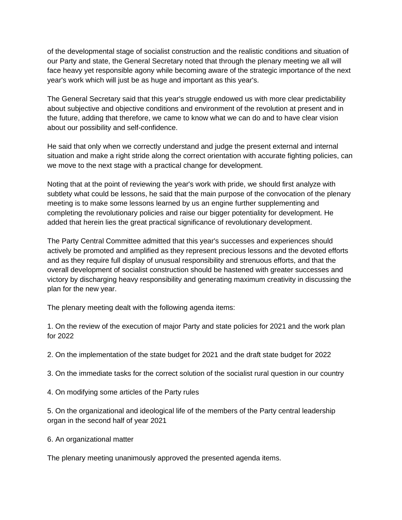of the developmental stage of socialist construction and the realistic conditions and situation of our Party and state, the General Secretary noted that through the plenary meeting we all will face heavy yet responsible agony while becoming aware of the strategic importance of the next year's work which will just be as huge and important as this year's.

The General Secretary said that this year's struggle endowed us with more clear predictability about subjective and objective conditions and environment of the revolution at present and in the future, adding that therefore, we came to know what we can do and to have clear vision about our possibility and self-confidence.

He said that only when we correctly understand and judge the present external and internal situation and make a right stride along the correct orientation with accurate fighting policies, can we move to the next stage with a practical change for development.

Noting that at the point of reviewing the year's work with pride, we should first analyze with subtlety what could be lessons, he said that the main purpose of the convocation of the plenary meeting is to make some lessons learned by us an engine further supplementing and completing the revolutionary policies and raise our bigger potentiality for development. He added that herein lies the great practical significance of revolutionary development.

The Party Central Committee admitted that this year's successes and experiences should actively be promoted and amplified as they represent precious lessons and the devoted efforts and as they require full display of unusual responsibility and strenuous efforts, and that the overall development of socialist construction should be hastened with greater successes and victory by discharging heavy responsibility and generating maximum creativity in discussing the plan for the new year.

The plenary meeting dealt with the following agenda items:

1. On the review of the execution of major Party and state policies for 2021 and the work plan for 2022

2. On the implementation of the state budget for 2021 and the draft state budget for 2022

3. On the immediate tasks for the correct solution of the socialist rural question in our country

4. On modifying some articles of the Party rules

5. On the organizational and ideological life of the members of the Party central leadership organ in the second half of year 2021

6. An organizational matter

The plenary meeting unanimously approved the presented agenda items.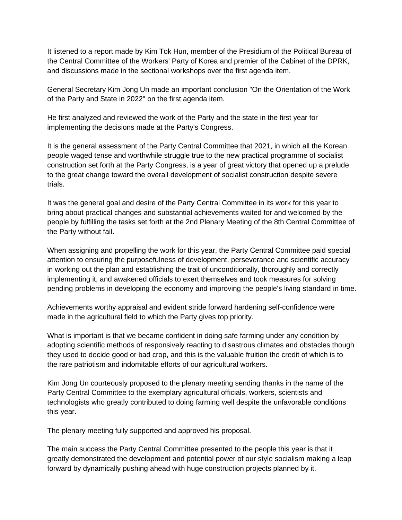It listened to a report made by Kim Tok Hun, member of the Presidium of the Political Bureau of the Central Committee of the Workers' Party of Korea and premier of the Cabinet of the DPRK, and discussions made in the sectional workshops over the first agenda item.

General Secretary Kim Jong Un made an important conclusion "On the Orientation of the Work of the Party and State in 2022" on the first agenda item.

He first analyzed and reviewed the work of the Party and the state in the first year for implementing the decisions made at the Party's Congress.

It is the general assessment of the Party Central Committee that 2021, in which all the Korean people waged tense and worthwhile struggle true to the new practical programme of socialist construction set forth at the Party Congress, is a year of great victory that opened up a prelude to the great change toward the overall development of socialist construction despite severe trials.

It was the general goal and desire of the Party Central Committee in its work for this year to bring about practical changes and substantial achievements waited for and welcomed by the people by fulfilling the tasks set forth at the 2nd Plenary Meeting of the 8th Central Committee of the Party without fail.

When assigning and propelling the work for this year, the Party Central Committee paid special attention to ensuring the purposefulness of development, perseverance and scientific accuracy in working out the plan and establishing the trait of unconditionally, thoroughly and correctly implementing it, and awakened officials to exert themselves and took measures for solving pending problems in developing the economy and improving the people's living standard in time.

Achievements worthy appraisal and evident stride forward hardening self-confidence were made in the agricultural field to which the Party gives top priority.

What is important is that we became confident in doing safe farming under any condition by adopting scientific methods of responsively reacting to disastrous climates and obstacles though they used to decide good or bad crop, and this is the valuable fruition the credit of which is to the rare patriotism and indomitable efforts of our agricultural workers.

Kim Jong Un courteously proposed to the plenary meeting sending thanks in the name of the Party Central Committee to the exemplary agricultural officials, workers, scientists and technologists who greatly contributed to doing farming well despite the unfavorable conditions this year.

The plenary meeting fully supported and approved his proposal.

The main success the Party Central Committee presented to the people this year is that it greatly demonstrated the development and potential power of our style socialism making a leap forward by dynamically pushing ahead with huge construction projects planned by it.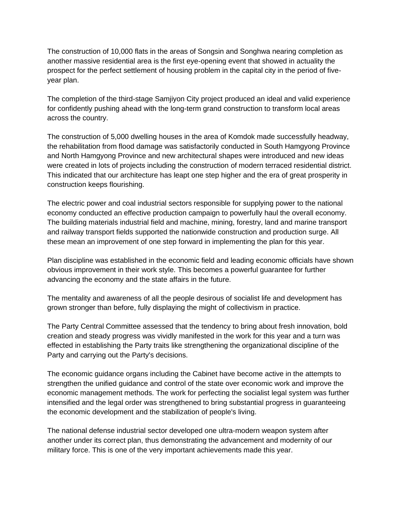The construction of 10,000 flats in the areas of Songsin and Songhwa nearing completion as another massive residential area is the first eye-opening event that showed in actuality the prospect for the perfect settlement of housing problem in the capital city in the period of fiveyear plan.

The completion of the third-stage Samjiyon City project produced an ideal and valid experience for confidently pushing ahead with the long-term grand construction to transform local areas across the country.

The construction of 5,000 dwelling houses in the area of Komdok made successfully headway, the rehabilitation from flood damage was satisfactorily conducted in South Hamgyong Province and North Hamgyong Province and new architectural shapes were introduced and new ideas were created in lots of projects including the construction of modern terraced residential district. This indicated that our architecture has leapt one step higher and the era of great prosperity in construction keeps flourishing.

The electric power and coal industrial sectors responsible for supplying power to the national economy conducted an effective production campaign to powerfully haul the overall economy. The building materials industrial field and machine, mining, forestry, land and marine transport and railway transport fields supported the nationwide construction and production surge. All these mean an improvement of one step forward in implementing the plan for this year.

Plan discipline was established in the economic field and leading economic officials have shown obvious improvement in their work style. This becomes a powerful guarantee for further advancing the economy and the state affairs in the future.

The mentality and awareness of all the people desirous of socialist life and development has grown stronger than before, fully displaying the might of collectivism in practice.

The Party Central Committee assessed that the tendency to bring about fresh innovation, bold creation and steady progress was vividly manifested in the work for this year and a turn was effected in establishing the Party traits like strengthening the organizational discipline of the Party and carrying out the Party's decisions.

The economic guidance organs including the Cabinet have become active in the attempts to strengthen the unified guidance and control of the state over economic work and improve the economic management methods. The work for perfecting the socialist legal system was further intensified and the legal order was strengthened to bring substantial progress in guaranteeing the economic development and the stabilization of people's living.

The national defense industrial sector developed one ultra-modern weapon system after another under its correct plan, thus demonstrating the advancement and modernity of our military force. This is one of the very important achievements made this year.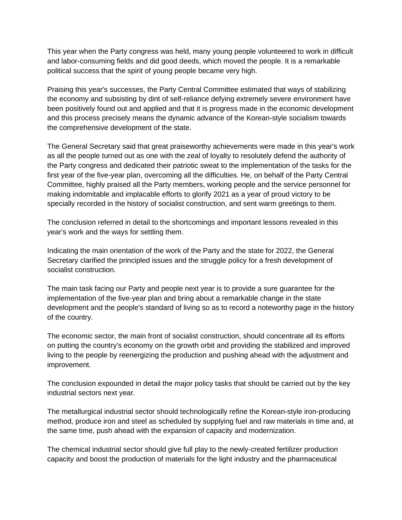This year when the Party congress was held, many young people volunteered to work in difficult and labor-consuming fields and did good deeds, which moved the people. It is a remarkable political success that the spirit of young people became very high.

Praising this year's successes, the Party Central Committee estimated that ways of stabilizing the economy and subsisting by dint of self-reliance defying extremely severe environment have been positively found out and applied and that it is progress made in the economic development and this process precisely means the dynamic advance of the Korean-style socialism towards the comprehensive development of the state.

The General Secretary said that great praiseworthy achievements were made in this year's work as all the people turned out as one with the zeal of loyalty to resolutely defend the authority of the Party congress and dedicated their patriotic sweat to the implementation of the tasks for the first year of the five-year plan, overcoming all the difficulties. He, on behalf of the Party Central Committee, highly praised all the Party members, working people and the service personnel for making indomitable and implacable efforts to glorify 2021 as a year of proud victory to be specially recorded in the history of socialist construction, and sent warm greetings to them.

The conclusion referred in detail to the shortcomings and important lessons revealed in this year's work and the ways for settling them.

Indicating the main orientation of the work of the Party and the state for 2022, the General Secretary clarified the principled issues and the struggle policy for a fresh development of socialist construction.

The main task facing our Party and people next year is to provide a sure guarantee for the implementation of the five-year plan and bring about a remarkable change in the state development and the people's standard of living so as to record a noteworthy page in the history of the country.

The economic sector, the main front of socialist construction, should concentrate all its efforts on putting the country's economy on the growth orbit and providing the stabilized and improved living to the people by reenergizing the production and pushing ahead with the adjustment and improvement.

The conclusion expounded in detail the major policy tasks that should be carried out by the key industrial sectors next year.

The metallurgical industrial sector should technologically refine the Korean-style iron-producing method, produce iron and steel as scheduled by supplying fuel and raw materials in time and, at the same time, push ahead with the expansion of capacity and modernization.

The chemical industrial sector should give full play to the newly-created fertilizer production capacity and boost the production of materials for the light industry and the pharmaceutical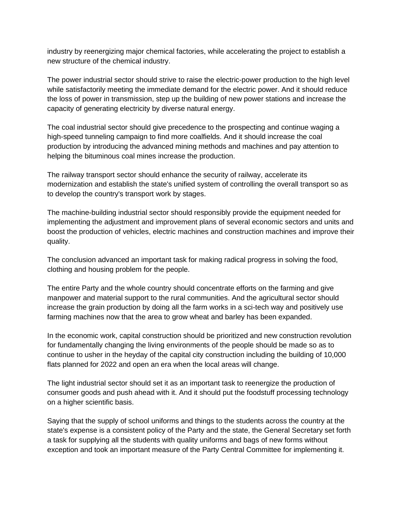industry by reenergizing major chemical factories, while accelerating the project to establish a new structure of the chemical industry.

The power industrial sector should strive to raise the electric-power production to the high level while satisfactorily meeting the immediate demand for the electric power. And it should reduce the loss of power in transmission, step up the building of new power stations and increase the capacity of generating electricity by diverse natural energy.

The coal industrial sector should give precedence to the prospecting and continue waging a high-speed tunneling campaign to find more coalfields. And it should increase the coal production by introducing the advanced mining methods and machines and pay attention to helping the bituminous coal mines increase the production.

The railway transport sector should enhance the security of railway, accelerate its modernization and establish the state's unified system of controlling the overall transport so as to develop the country's transport work by stages.

The machine-building industrial sector should responsibly provide the equipment needed for implementing the adjustment and improvement plans of several economic sectors and units and boost the production of vehicles, electric machines and construction machines and improve their quality.

The conclusion advanced an important task for making radical progress in solving the food, clothing and housing problem for the people.

The entire Party and the whole country should concentrate efforts on the farming and give manpower and material support to the rural communities. And the agricultural sector should increase the grain production by doing all the farm works in a sci-tech way and positively use farming machines now that the area to grow wheat and barley has been expanded.

In the economic work, capital construction should be prioritized and new construction revolution for fundamentally changing the living environments of the people should be made so as to continue to usher in the heyday of the capital city construction including the building of 10,000 flats planned for 2022 and open an era when the local areas will change.

The light industrial sector should set it as an important task to reenergize the production of consumer goods and push ahead with it. And it should put the foodstuff processing technology on a higher scientific basis.

Saying that the supply of school uniforms and things to the students across the country at the state's expense is a consistent policy of the Party and the state, the General Secretary set forth a task for supplying all the students with quality uniforms and bags of new forms without exception and took an important measure of the Party Central Committee for implementing it.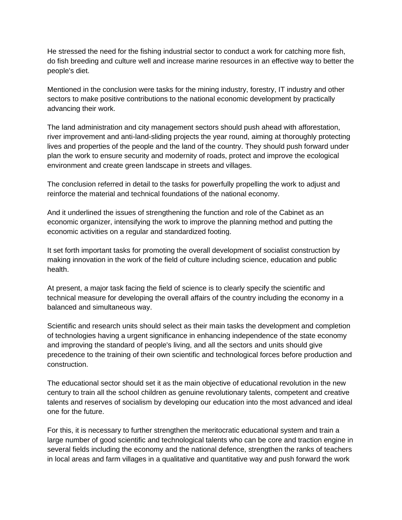He stressed the need for the fishing industrial sector to conduct a work for catching more fish, do fish breeding and culture well and increase marine resources in an effective way to better the people's diet.

Mentioned in the conclusion were tasks for the mining industry, forestry, IT industry and other sectors to make positive contributions to the national economic development by practically advancing their work.

The land administration and city management sectors should push ahead with afforestation, river improvement and anti-land-sliding projects the year round, aiming at thoroughly protecting lives and properties of the people and the land of the country. They should push forward under plan the work to ensure security and modernity of roads, protect and improve the ecological environment and create green landscape in streets and villages.

The conclusion referred in detail to the tasks for powerfully propelling the work to adjust and reinforce the material and technical foundations of the national economy.

And it underlined the issues of strengthening the function and role of the Cabinet as an economic organizer, intensifying the work to improve the planning method and putting the economic activities on a regular and standardized footing.

It set forth important tasks for promoting the overall development of socialist construction by making innovation in the work of the field of culture including science, education and public health.

At present, a major task facing the field of science is to clearly specify the scientific and technical measure for developing the overall affairs of the country including the economy in a balanced and simultaneous way.

Scientific and research units should select as their main tasks the development and completion of technologies having a urgent significance in enhancing independence of the state economy and improving the standard of people's living, and all the sectors and units should give precedence to the training of their own scientific and technological forces before production and construction.

The educational sector should set it as the main objective of educational revolution in the new century to train all the school children as genuine revolutionary talents, competent and creative talents and reserves of socialism by developing our education into the most advanced and ideal one for the future.

For this, it is necessary to further strengthen the meritocratic educational system and train a large number of good scientific and technological talents who can be core and traction engine in several fields including the economy and the national defence, strengthen the ranks of teachers in local areas and farm villages in a qualitative and quantitative way and push forward the work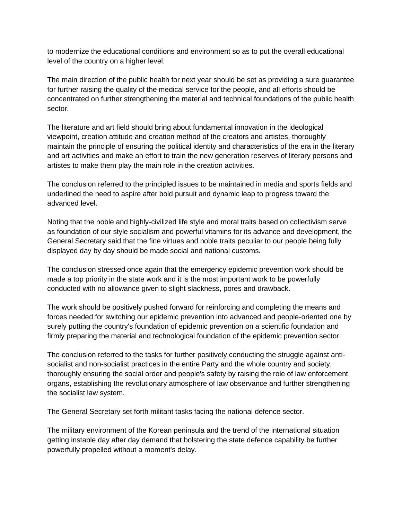to modernize the educational conditions and environment so as to put the overall educational level of the country on a higher level.

The main direction of the public health for next year should be set as providing a sure guarantee for further raising the quality of the medical service for the people, and all efforts should be concentrated on further strengthening the material and technical foundations of the public health sector.

The literature and art field should bring about fundamental innovation in the ideological viewpoint, creation attitude and creation method of the creators and artistes, thoroughly maintain the principle of ensuring the political identity and characteristics of the era in the literary and art activities and make an effort to train the new generation reserves of literary persons and artistes to make them play the main role in the creation activities.

The conclusion referred to the principled issues to be maintained in media and sports fields and underlined the need to aspire after bold pursuit and dynamic leap to progress toward the advanced level.

Noting that the noble and highly-civilized life style and moral traits based on collectivism serve as foundation of our style socialism and powerful vitamins for its advance and development, the General Secretary said that the fine virtues and noble traits peculiar to our people being fully displayed day by day should be made social and national customs.

The conclusion stressed once again that the emergency epidemic prevention work should be made a top priority in the state work and it is the most important work to be powerfully conducted with no allowance given to slight slackness, pores and drawback.

The work should be positively pushed forward for reinforcing and completing the means and forces needed for switching our epidemic prevention into advanced and people-oriented one by surely putting the country's foundation of epidemic prevention on a scientific foundation and firmly preparing the material and technological foundation of the epidemic prevention sector.

The conclusion referred to the tasks for further positively conducting the struggle against antisocialist and non-socialist practices in the entire Party and the whole country and society, thoroughly ensuring the social order and people's safety by raising the role of law enforcement organs, establishing the revolutionary atmosphere of law observance and further strengthening the socialist law system.

The General Secretary set forth militant tasks facing the national defence sector.

The military environment of the Korean peninsula and the trend of the international situation getting instable day after day demand that bolstering the state defence capability be further powerfully propelled without a moment's delay.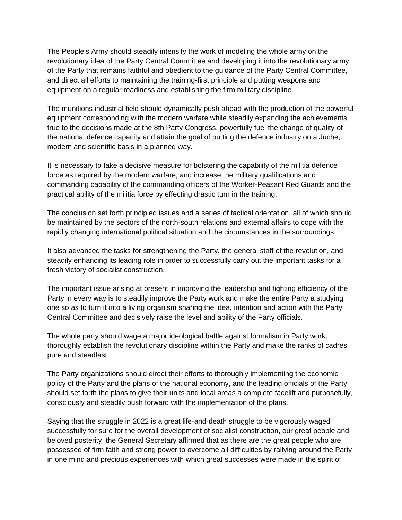The People's Army should steadily intensify the work of modeling the whole army on the revolutionary idea of the Party Central Committee and developing it into the revolutionary army of the Party that remains faithful and obedient to the guidance of the Party Central Committee, and direct all efforts to maintaining the training-first principle and putting weapons and equipment on a regular readiness and establishing the firm military discipline.

The munitions industrial field should dynamically push ahead with the production of the powerful equipment corresponding with the modern warfare while steadily expanding the achievements true to the decisions made at the 8th Party Congress, powerfully fuel the change of quality of the national defence capacity and attain the goal of putting the defence industry on a Juche, modern and scientific basis in a planned way.

It is necessary to take a decisive measure for bolstering the capability of the militia defence force as required by the modern warfare, and increase the military qualifications and commanding capability of the commanding officers of the Worker-Peasant Red Guards and the practical ability of the militia force by effecting drastic turn in the training.

The conclusion set forth principled issues and a series of tactical orientation, all of which should be maintained by the sectors of the north-south relations and external affairs to cope with the rapidly changing international political situation and the circumstances in the surroundings.

It also advanced the tasks for strengthening the Party, the general staff of the revolution, and steadily enhancing its leading role in order to successfully carry out the important tasks for a fresh victory of socialist construction.

The important issue arising at present in improving the leadership and fighting efficiency of the Party in every way is to steadily improve the Party work and make the entire Party a studying one so as to turn it into a living organism sharing the idea, intention and action with the Party Central Committee and decisively raise the level and ability of the Party officials.

The whole party should wage a major ideological battle against formalism in Party work, thoroughly establish the revolutionary discipline within the Party and make the ranks of cadres pure and steadfast.

The Party organizations should direct their efforts to thoroughly implementing the economic policy of the Party and the plans of the national economy, and the leading officials of the Party should set forth the plans to give their units and local areas a complete facelift and purposefully, consciously and steadily push forward with the implementation of the plans.

Saying that the struggle in 2022 is a great life-and-death struggle to be vigorously waged successfully for sure for the overall development of socialist construction, our great people and beloved posterity, the General Secretary affirmed that as there are the great people who are possessed of firm faith and strong power to overcome all difficulties by rallying around the Party in one mind and precious experiences with which great successes were made in the spirit of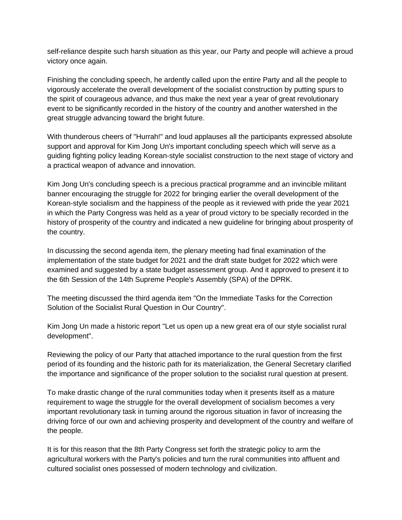self-reliance despite such harsh situation as this year, our Party and people will achieve a proud victory once again.

Finishing the concluding speech, he ardently called upon the entire Party and all the people to vigorously accelerate the overall development of the socialist construction by putting spurs to the spirit of courageous advance, and thus make the next year a year of great revolutionary event to be significantly recorded in the history of the country and another watershed in the great struggle advancing toward the bright future.

With thunderous cheers of "Hurrah!" and loud applauses all the participants expressed absolute support and approval for Kim Jong Un's important concluding speech which will serve as a guiding fighting policy leading Korean-style socialist construction to the next stage of victory and a practical weapon of advance and innovation.

Kim Jong Un's concluding speech is a precious practical programme and an invincible militant banner encouraging the struggle for 2022 for bringing earlier the overall development of the Korean-style socialism and the happiness of the people as it reviewed with pride the year 2021 in which the Party Congress was held as a year of proud victory to be specially recorded in the history of prosperity of the country and indicated a new guideline for bringing about prosperity of the country.

In discussing the second agenda item, the plenary meeting had final examination of the implementation of the state budget for 2021 and the draft state budget for 2022 which were examined and suggested by a state budget assessment group. And it approved to present it to the 6th Session of the 14th Supreme People's Assembly (SPA) of the DPRK.

The meeting discussed the third agenda item "On the Immediate Tasks for the Correction Solution of the Socialist Rural Question in Our Country".

Kim Jong Un made a historic report "Let us open up a new great era of our style socialist rural development".

Reviewing the policy of our Party that attached importance to the rural question from the first period of its founding and the historic path for its materialization, the General Secretary clarified the importance and significance of the proper solution to the socialist rural question at present.

To make drastic change of the rural communities today when it presents itself as a mature requirement to wage the struggle for the overall development of socialism becomes a very important revolutionary task in turning around the rigorous situation in favor of increasing the driving force of our own and achieving prosperity and development of the country and welfare of the people.

It is for this reason that the 8th Party Congress set forth the strategic policy to arm the agricultural workers with the Party's policies and turn the rural communities into affluent and cultured socialist ones possessed of modern technology and civilization.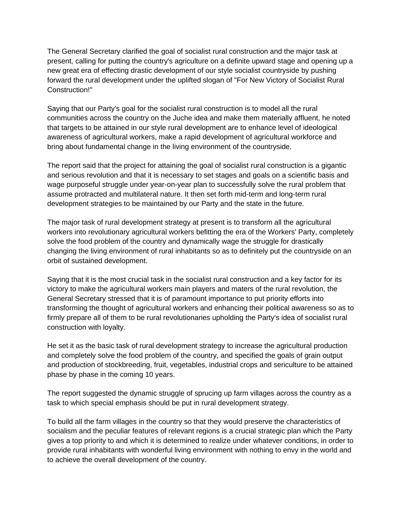The General Secretary clarified the goal of socialist rural construction and the major task at present, calling for putting the country's agriculture on a definite upward stage and opening up a new great era of effecting drastic development of our style socialist countryside by pushing forward the rural development under the uplifted slogan of "For New Victory of Socialist Rural Construction!"

Saying that our Party's goal for the socialist rural construction is to model all the rural communities across the country on the Juche idea and make them materially affluent, he noted that targets to be attained in our style rural development are to enhance level of ideological awareness of agricultural workers, make a rapid development of agricultural workforce and bring about fundamental change in the living environment of the countryside.

The report said that the project for attaining the goal of socialist rural construction is a gigantic and serious revolution and that it is necessary to set stages and goals on a scientific basis and wage purposeful struggle under year-on-year plan to successfully solve the rural problem that assume protracted and multilateral nature. It then set forth mid-term and long-term rural development strategies to be maintained by our Party and the state in the future.

The major task of rural development strategy at present is to transform all the agricultural workers into revolutionary agricultural workers befitting the era of the Workers' Party, completely solve the food problem of the country and dynamically wage the struggle for drastically changing the living environment of rural inhabitants so as to definitely put the countryside on an orbit of sustained development.

Saying that it is the most crucial task in the socialist rural construction and a key factor for its victory to make the agricultural workers main players and maters of the rural revolution, the General Secretary stressed that it is of paramount importance to put priority efforts into transforming the thought of agricultural workers and enhancing their political awareness so as to firmly prepare all of them to be rural revolutionaries upholding the Party's idea of socialist rural construction with loyalty.

He set it as the basic task of rural development strategy to increase the agricultural production and completely solve the food problem of the country, and specified the goals of grain output and production of stockbreeding, fruit, vegetables, industrial crops and sericulture to be attained phase by phase in the coming 10 years.

The report suggested the dynamic struggle of sprucing up farm villages across the country as a task to which special emphasis should be put in rural development strategy.

To build all the farm villages in the country so that they would preserve the characteristics of socialism and the peculiar features of relevant regions is a crucial strategic plan which the Party gives a top priority to and which it is determined to realize under whatever conditions, in order to provide rural inhabitants with wonderful living environment with nothing to envy in the world and to achieve the overall development of the country.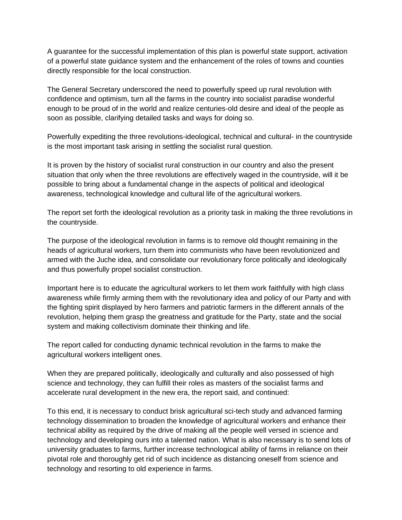A guarantee for the successful implementation of this plan is powerful state support, activation of a powerful state guidance system and the enhancement of the roles of towns and counties directly responsible for the local construction.

The General Secretary underscored the need to powerfully speed up rural revolution with confidence and optimism, turn all the farms in the country into socialist paradise wonderful enough to be proud of in the world and realize centuries-old desire and ideal of the people as soon as possible, clarifying detailed tasks and ways for doing so.

Powerfully expediting the three revolutions-ideological, technical and cultural- in the countryside is the most important task arising in settling the socialist rural question.

It is proven by the history of socialist rural construction in our country and also the present situation that only when the three revolutions are effectively waged in the countryside, will it be possible to bring about a fundamental change in the aspects of political and ideological awareness, technological knowledge and cultural life of the agricultural workers.

The report set forth the ideological revolution as a priority task in making the three revolutions in the countryside.

The purpose of the ideological revolution in farms is to remove old thought remaining in the heads of agricultural workers, turn them into communists who have been revolutionized and armed with the Juche idea, and consolidate our revolutionary force politically and ideologically and thus powerfully propel socialist construction.

Important here is to educate the agricultural workers to let them work faithfully with high class awareness while firmly arming them with the revolutionary idea and policy of our Party and with the fighting spirit displayed by hero farmers and patriotic farmers in the different annals of the revolution, helping them grasp the greatness and gratitude for the Party, state and the social system and making collectivism dominate their thinking and life.

The report called for conducting dynamic technical revolution in the farms to make the agricultural workers intelligent ones.

When they are prepared politically, ideologically and culturally and also possessed of high science and technology, they can fulfill their roles as masters of the socialist farms and accelerate rural development in the new era, the report said, and continued:

To this end, it is necessary to conduct brisk agricultural sci-tech study and advanced farming technology dissemination to broaden the knowledge of agricultural workers and enhance their technical ability as required by the drive of making all the people well versed in science and technology and developing ours into a talented nation. What is also necessary is to send lots of university graduates to farms, further increase technological ability of farms in reliance on their pivotal role and thoroughly get rid of such incidence as distancing oneself from science and technology and resorting to old experience in farms.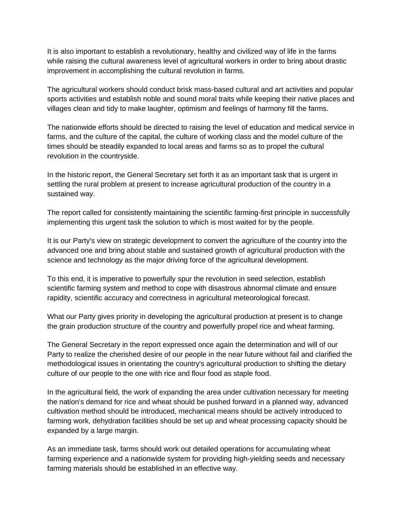It is also important to establish a revolutionary, healthy and civilized way of life in the farms while raising the cultural awareness level of agricultural workers in order to bring about drastic improvement in accomplishing the cultural revolution in farms.

The agricultural workers should conduct brisk mass-based cultural and art activities and popular sports activities and establish noble and sound moral traits while keeping their native places and villages clean and tidy to make laughter, optimism and feelings of harmony fill the farms.

The nationwide efforts should be directed to raising the level of education and medical service in farms, and the culture of the capital, the culture of working class and the model culture of the times should be steadily expanded to local areas and farms so as to propel the cultural revolution in the countryside.

In the historic report, the General Secretary set forth it as an important task that is urgent in settling the rural problem at present to increase agricultural production of the country in a sustained way.

The report called for consistently maintaining the scientific farming-first principle in successfully implementing this urgent task the solution to which is most waited for by the people.

It is our Party's view on strategic development to convert the agriculture of the country into the advanced one and bring about stable and sustained growth of agricultural production with the science and technology as the major driving force of the agricultural development.

To this end, it is imperative to powerfully spur the revolution in seed selection, establish scientific farming system and method to cope with disastrous abnormal climate and ensure rapidity, scientific accuracy and correctness in agricultural meteorological forecast.

What our Party gives priority in developing the agricultural production at present is to change the grain production structure of the country and powerfully propel rice and wheat farming.

The General Secretary in the report expressed once again the determination and will of our Party to realize the cherished desire of our people in the near future without fail and clarified the methodological issues in orientating the country's agricultural production to shifting the dietary culture of our people to the one with rice and flour food as staple food.

In the agricultural field, the work of expanding the area under cultivation necessary for meeting the nation's demand for rice and wheat should be pushed forward in a planned way, advanced cultivation method should be introduced, mechanical means should be actively introduced to farming work, dehydration facilities should be set up and wheat processing capacity should be expanded by a large margin.

As an immediate task, farms should work out detailed operations for accumulating wheat farming experience and a nationwide system for providing high-yielding seeds and necessary farming materials should be established in an effective way.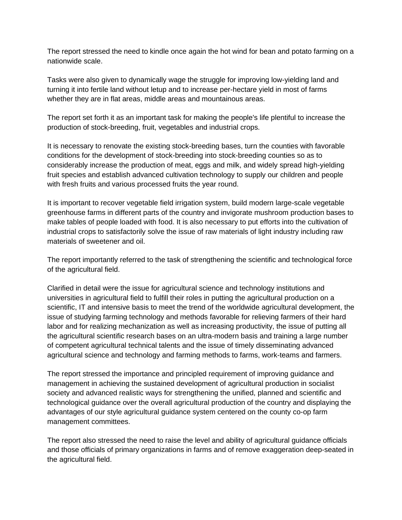The report stressed the need to kindle once again the hot wind for bean and potato farming on a nationwide scale.

Tasks were also given to dynamically wage the struggle for improving low-yielding land and turning it into fertile land without letup and to increase per-hectare yield in most of farms whether they are in flat areas, middle areas and mountainous areas.

The report set forth it as an important task for making the people's life plentiful to increase the production of stock-breeding, fruit, vegetables and industrial crops.

It is necessary to renovate the existing stock-breeding bases, turn the counties with favorable conditions for the development of stock-breeding into stock-breeding counties so as to considerably increase the production of meat, eggs and milk, and widely spread high-yielding fruit species and establish advanced cultivation technology to supply our children and people with fresh fruits and various processed fruits the year round.

It is important to recover vegetable field irrigation system, build modern large-scale vegetable greenhouse farms in different parts of the country and invigorate mushroom production bases to make tables of people loaded with food. It is also necessary to put efforts into the cultivation of industrial crops to satisfactorily solve the issue of raw materials of light industry including raw materials of sweetener and oil.

The report importantly referred to the task of strengthening the scientific and technological force of the agricultural field.

Clarified in detail were the issue for agricultural science and technology institutions and universities in agricultural field to fulfill their roles in putting the agricultural production on a scientific, IT and intensive basis to meet the trend of the worldwide agricultural development, the issue of studying farming technology and methods favorable for relieving farmers of their hard labor and for realizing mechanization as well as increasing productivity, the issue of putting all the agricultural scientific research bases on an ultra-modern basis and training a large number of competent agricultural technical talents and the issue of timely disseminating advanced agricultural science and technology and farming methods to farms, work-teams and farmers.

The report stressed the importance and principled requirement of improving guidance and management in achieving the sustained development of agricultural production in socialist society and advanced realistic ways for strengthening the unified, planned and scientific and technological guidance over the overall agricultural production of the country and displaying the advantages of our style agricultural guidance system centered on the county co-op farm management committees.

The report also stressed the need to raise the level and ability of agricultural guidance officials and those officials of primary organizations in farms and of remove exaggeration deep-seated in the agricultural field.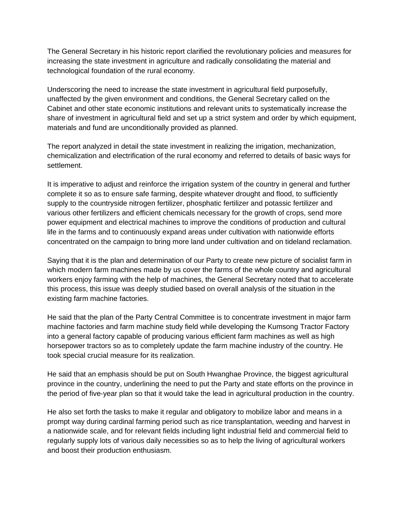The General Secretary in his historic report clarified the revolutionary policies and measures for increasing the state investment in agriculture and radically consolidating the material and technological foundation of the rural economy.

Underscoring the need to increase the state investment in agricultural field purposefully, unaffected by the given environment and conditions, the General Secretary called on the Cabinet and other state economic institutions and relevant units to systematically increase the share of investment in agricultural field and set up a strict system and order by which equipment, materials and fund are unconditionally provided as planned.

The report analyzed in detail the state investment in realizing the irrigation, mechanization, chemicalization and electrification of the rural economy and referred to details of basic ways for settlement.

It is imperative to adjust and reinforce the irrigation system of the country in general and further complete it so as to ensure safe farming, despite whatever drought and flood, to sufficiently supply to the countryside nitrogen fertilizer, phosphatic fertilizer and potassic fertilizer and various other fertilizers and efficient chemicals necessary for the growth of crops, send more power equipment and electrical machines to improve the conditions of production and cultural life in the farms and to continuously expand areas under cultivation with nationwide efforts concentrated on the campaign to bring more land under cultivation and on tideland reclamation.

Saying that it is the plan and determination of our Party to create new picture of socialist farm in which modern farm machines made by us cover the farms of the whole country and agricultural workers enjoy farming with the help of machines, the General Secretary noted that to accelerate this process, this issue was deeply studied based on overall analysis of the situation in the existing farm machine factories.

He said that the plan of the Party Central Committee is to concentrate investment in major farm machine factories and farm machine study field while developing the Kumsong Tractor Factory into a general factory capable of producing various efficient farm machines as well as high horsepower tractors so as to completely update the farm machine industry of the country. He took special crucial measure for its realization.

He said that an emphasis should be put on South Hwanghae Province, the biggest agricultural province in the country, underlining the need to put the Party and state efforts on the province in the period of five-year plan so that it would take the lead in agricultural production in the country.

He also set forth the tasks to make it regular and obligatory to mobilize labor and means in a prompt way during cardinal farming period such as rice transplantation, weeding and harvest in a nationwide scale, and for relevant fields including light industrial field and commercial field to regularly supply lots of various daily necessities so as to help the living of agricultural workers and boost their production enthusiasm.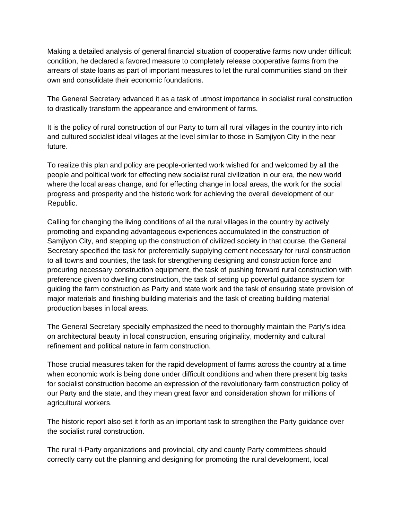Making a detailed analysis of general financial situation of cooperative farms now under difficult condition, he declared a favored measure to completely release cooperative farms from the arrears of state loans as part of important measures to let the rural communities stand on their own and consolidate their economic foundations.

The General Secretary advanced it as a task of utmost importance in socialist rural construction to drastically transform the appearance and environment of farms.

It is the policy of rural construction of our Party to turn all rural villages in the country into rich and cultured socialist ideal villages at the level similar to those in Samjiyon City in the near future.

To realize this plan and policy are people-oriented work wished for and welcomed by all the people and political work for effecting new socialist rural civilization in our era, the new world where the local areas change, and for effecting change in local areas, the work for the social progress and prosperity and the historic work for achieving the overall development of our Republic.

Calling for changing the living conditions of all the rural villages in the country by actively promoting and expanding advantageous experiences accumulated in the construction of Samjiyon City, and stepping up the construction of civilized society in that course, the General Secretary specified the task for preferentially supplying cement necessary for rural construction to all towns and counties, the task for strengthening designing and construction force and procuring necessary construction equipment, the task of pushing forward rural construction with preference given to dwelling construction, the task of setting up powerful guidance system for guiding the farm construction as Party and state work and the task of ensuring state provision of major materials and finishing building materials and the task of creating building material production bases in local areas.

The General Secretary specially emphasized the need to thoroughly maintain the Party's idea on architectural beauty in local construction, ensuring originality, modernity and cultural refinement and political nature in farm construction.

Those crucial measures taken for the rapid development of farms across the country at a time when economic work is being done under difficult conditions and when there present big tasks for socialist construction become an expression of the revolutionary farm construction policy of our Party and the state, and they mean great favor and consideration shown for millions of agricultural workers.

The historic report also set it forth as an important task to strengthen the Party guidance over the socialist rural construction.

The rural ri-Party organizations and provincial, city and county Party committees should correctly carry out the planning and designing for promoting the rural development, local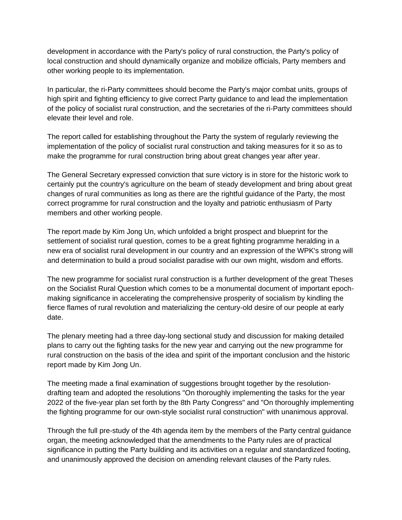development in accordance with the Party's policy of rural construction, the Party's policy of local construction and should dynamically organize and mobilize officials, Party members and other working people to its implementation.

In particular, the ri-Party committees should become the Party's major combat units, groups of high spirit and fighting efficiency to give correct Party guidance to and lead the implementation of the policy of socialist rural construction, and the secretaries of the ri-Party committees should elevate their level and role.

The report called for establishing throughout the Party the system of regularly reviewing the implementation of the policy of socialist rural construction and taking measures for it so as to make the programme for rural construction bring about great changes year after year.

The General Secretary expressed conviction that sure victory is in store for the historic work to certainly put the country's agriculture on the beam of steady development and bring about great changes of rural communities as long as there are the rightful guidance of the Party, the most correct programme for rural construction and the loyalty and patriotic enthusiasm of Party members and other working people.

The report made by Kim Jong Un, which unfolded a bright prospect and blueprint for the settlement of socialist rural question, comes to be a great fighting programme heralding in a new era of socialist rural development in our country and an expression of the WPK's strong will and determination to build a proud socialist paradise with our own might, wisdom and efforts.

The new programme for socialist rural construction is a further development of the great Theses on the Socialist Rural Question which comes to be a monumental document of important epochmaking significance in accelerating the comprehensive prosperity of socialism by kindling the fierce flames of rural revolution and materializing the century-old desire of our people at early date.

The plenary meeting had a three day-long sectional study and discussion for making detailed plans to carry out the fighting tasks for the new year and carrying out the new programme for rural construction on the basis of the idea and spirit of the important conclusion and the historic report made by Kim Jong Un.

The meeting made a final examination of suggestions brought together by the resolutiondrafting team and adopted the resolutions "On thoroughly implementing the tasks for the year 2022 of the five-year plan set forth by the 8th Party Congress" and "On thoroughly implementing the fighting programme for our own-style socialist rural construction" with unanimous approval.

Through the full pre-study of the 4th agenda item by the members of the Party central guidance organ, the meeting acknowledged that the amendments to the Party rules are of practical significance in putting the Party building and its activities on a regular and standardized footing, and unanimously approved the decision on amending relevant clauses of the Party rules.